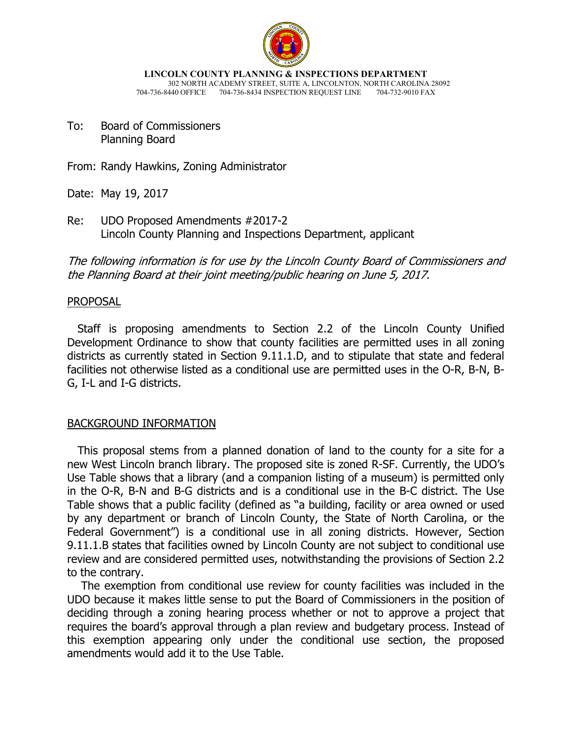

**LINCOLN COUNTY PLANNING & INSPECTIONS DEPARTMENT** 302 NORTH ACADEMY STREET, SUITE A, LINCOLNTON, NORTH CAROLINA 28092

- 704-736-8440 OFFICE 704-736-8434 INSPECTION REQUEST LINE 704-732-9010 FAX
- To: Board of Commissioners Planning Board

From: Randy Hawkins, Zoning Administrator

Date: May 19, 2017

Re: UDO Proposed Amendments #2017-2 Lincoln County Planning and Inspections Department, applicant

The following information is for use by the Lincoln County Board of Commissioners and the Planning Board at their joint meeting/public hearing on June 5, 2017.

## PROPOSAL

 Staff is proposing amendments to Section 2.2 of the Lincoln County Unified Development Ordinance to show that county facilities are permitted uses in all zoning districts as currently stated in Section 9.11.1.D, and to stipulate that state and federal facilities not otherwise listed as a conditional use are permitted uses in the O-R, B-N, B-G, I-L and I-G districts.

### BACKGROUND INFORMATION

 This proposal stems from a planned donation of land to the county for a site for a new West Lincoln branch library. The proposed site is zoned R-SF. Currently, the UDO's Use Table shows that a library (and a companion listing of a museum) is permitted only in the O-R, B-N and B-G districts and is a conditional use in the B-C district. The Use Table shows that a public facility (defined as "a building, facility or area owned or used by any department or branch of Lincoln County, the State of North Carolina, or the Federal Government") is a conditional use in all zoning districts. However, Section 9.11.1.B states that facilities owned by Lincoln County are not subject to conditional use review and are considered permitted uses, notwithstanding the provisions of Section 2.2 to the contrary.

 The exemption from conditional use review for county facilities was included in the UDO because it makes little sense to put the Board of Commissioners in the position of deciding through a zoning hearing process whether or not to approve a project that requires the board's approval through a plan review and budgetary process. Instead of this exemption appearing only under the conditional use section, the proposed amendments would add it to the Use Table.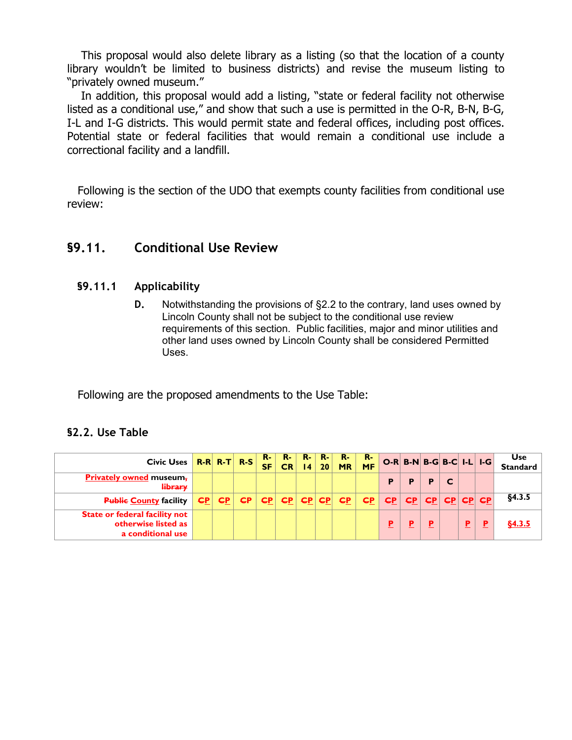This proposal would also delete library as a listing (so that the location of a county library wouldn't be limited to business districts) and revise the museum listing to "privately owned museum."

 In addition, this proposal would add a listing, "state or federal facility not otherwise listed as a conditional use," and show that such a use is permitted in the O-R, B-N, B-G, I-L and I-G districts. This would permit state and federal offices, including post offices. Potential state or federal facilities that would remain a conditional use include a correctional facility and a landfill.

 Following is the section of the UDO that exempts county facilities from conditional use review:

# **§9.11. Conditional Use Review**

# **§9.11.1 Applicability**

**D.** Notwithstanding the provisions of §2.2 to the contrary, land uses owned by Lincoln County shall not be subject to the conditional use review requirements of this section. Public facilities, major and minor utilities and other land uses owned by Lincoln County shall be considered Permitted Uses.

Following are the proposed amendments to the Use Table:

# **§2.2. Use Table**

| Civic Uses $\overline{R-R}$ $\overline{R-T}$ $\overline{R-S}$                    |    |   |           | /R-7<br><b>SF</b> | /R-7<br>CR | R-<br>$\overline{14}$                        | R-<br>20 | R-<br><b>MR</b> | R-<br><b>MF</b> |          | $O-R$ $B-N$ $B-G$ $B-C$ $I-L$ $I-G$ |    |          |                    | Use<br>Standard |
|----------------------------------------------------------------------------------|----|---|-----------|-------------------|------------|----------------------------------------------|----------|-----------------|-----------------|----------|-------------------------------------|----|----------|--------------------|-----------------|
| <b>Privately owned museum.</b><br><b>library</b>                                 |    |   |           |                   |            |                                              |          |                 |                 | P        | P                                   | P  |          |                    |                 |
| <b>Public County facility</b>                                                    | EP | E | <b>CP</b> | E                 | <b>CP</b>  | $\left  \frac{\text{CP}}{\text{CP}} \right $ |          | <b>GP</b>       | E               | E        | E                                   |    |          | <u>cp cp cp cp</u> | §4.3.5          |
| <b>State or federal facility not</b><br>otherwise listed as<br>a conditional use |    |   |           |                   |            |                                              |          |                 |                 | <u>Р</u> |                                     | P. | <u>P</u> | Ρ                  | <u>\$4.3.5</u>  |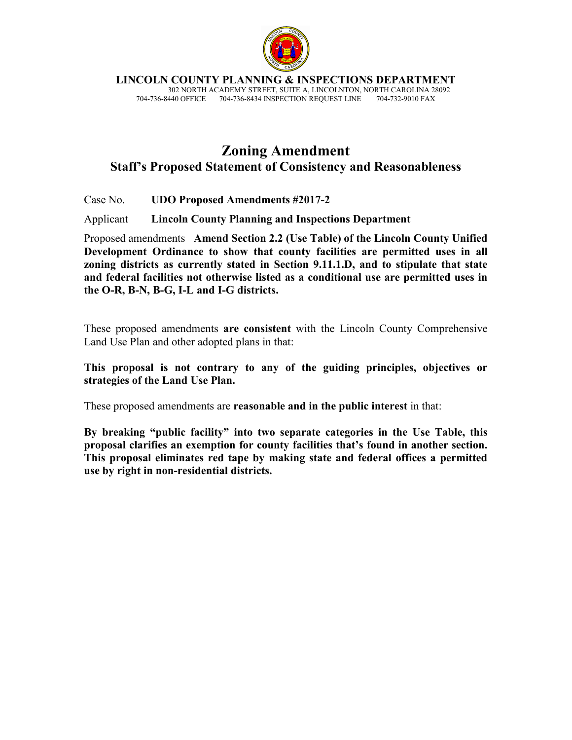

**LINCOLN COUNTY PLANNING & INSPECTIONS DEPARTMENT**

 302 NORTH ACADEMY STREET, SUITE A, LINCOLNTON, NORTH CAROLINA 28092 704-736-8440 OFFICE 704-736-8434 INSPECTION REQUEST LINE

# **Zoning Amendment Staff's Proposed Statement of Consistency and Reasonableness**

Case No. **UDO Proposed Amendments #2017-2** 

Applicant **Lincoln County Planning and Inspections Department**

Proposed amendments **Amend Section 2.2 (Use Table) of the Lincoln County Unified Development Ordinance to show that county facilities are permitted uses in all zoning districts as currently stated in Section 9.11.1.D, and to stipulate that state and federal facilities not otherwise listed as a conditional use are permitted uses in the O-R, B-N, B-G, I-L and I-G districts.** 

These proposed amendments **are consistent** with the Lincoln County Comprehensive Land Use Plan and other adopted plans in that:

**This proposal is not contrary to any of the guiding principles, objectives or strategies of the Land Use Plan.** 

These proposed amendments are **reasonable and in the public interest** in that:

**By breaking "public facility" into two separate categories in the Use Table, this proposal clarifies an exemption for county facilities that's found in another section. This proposal eliminates red tape by making state and federal offices a permitted use by right in non-residential districts.**